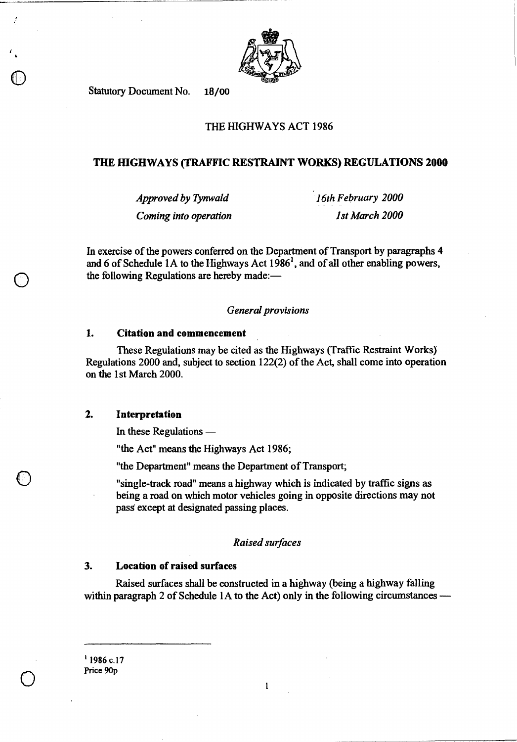

**Statutory Document No. 18/00** 

**4** 

 $\bigcirc$ 

0

0

### **THE HIGHWAYS ACT 1986**

#### **THE HIGHWAYS (TRAFFIC RESTRAINT WORKS) REGULATIONS 2000**

*Approved by Tynwald 16th February 2000 Coming into operation 1st March 2000* 

**In exercise of the powers conferred on the Department of Transport by paragraphs 4 and 6 of Schedule 1A to the Highways Act 1986 <sup>1</sup> , and of all other enabling powers, the following Regulations are hereby made:—** 

#### *General provisions*

#### **1. Citation and commencement**

**These Regulations may be cited as the Highways (Traffic Restraint Works) Regulations 2000 and, subject to section 122(2) of the Act, shall come into operation on the 1st March 2000.** 

#### **2. Interpretation**

**In these Regulations —** 

**"the Act" means the Highways Act 1986;** 

**"the Department" means the Department of Transport;** 

**"single-track road" means a highway which is indicated by traffic signs as being a road on which motor vehicles going in opposite directions may not pass except at designated passing places.** 

#### *Raised surfaces*

### **3. Location of raised surfaces**

**Raised surfaces shall be constructed in a highway (being a highway falling within paragraph 2 of Schedule lA to the Act) only in the following circumstances —** 

**<sup>I</sup>1986 c.17 Price 90p** 

 $\mathbf{l}$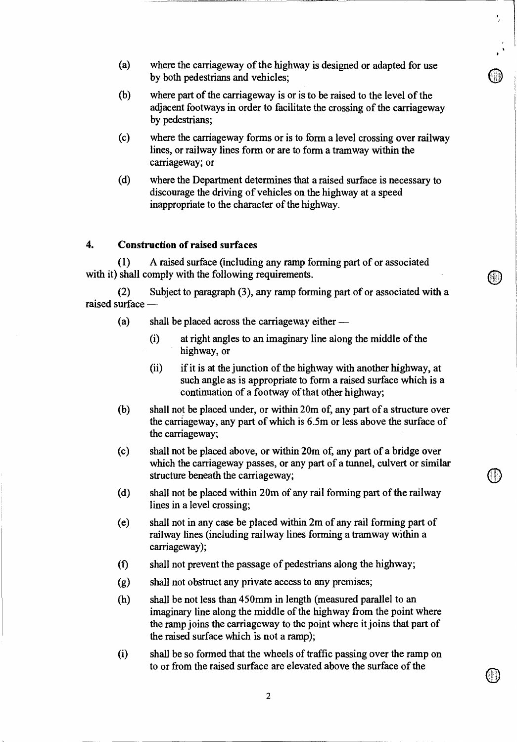(a) where the carriageway of the highway is designed or adapted for use by both pedestrians and vehicles;

۱,

- (b) where part of the carriageway is or is to be raised to the level of the adjacent footways in order to facilitate the crossing of the carriageway by pedestrians;
- (c) where the carriageway forms or is to form a level crossing over railway lines, or railway lines form or are to form a tramway within the carriageway; or
- (d) where the Department determines that a raised surface is necessary to discourage the driving of vehicles on the highway at a speed inappropriate to the character of the highway.

# **4. Construction of raised surfaces**

(1) A raised surface (including any ramp forming part of or associated with it) shall comply with the following requirements.

(2) Subject to paragraph (3), any ramp forming part of or associated with a raised surface —

- (a) shall be placed across the carriageway either
	- (i) at right angles to an imaginary line along the middle of the highway, or
	- (ii) if it is at the junction of the highway with another highway, at such angle as is appropriate to form a raised surface which is a continuation of a footway of that other highway;
- (b) shall not be placed under, or within 20m of, any part of a structure over the carriageway, any part of which is 6.5m or less above the surface of the carriageway;
- (c) shall not be placed above, or within 20m of, any part of a bridge over which the carriageway passes, or any part of a tunnel, culvert or similar structure beneath the carriageway;
- (d) shall not be placed within 20m of any rail forming part of the railway lines in a level crossing;
- (e) shall not in any case be placed within 2m of any rail forming part of railway lines (including railway lines forming a tramway within a carriageway);
- (f) shall not prevent the passage of pedestrians along the highway;
- (g) shall not obstruct any private access to any premises;
- (h) shall be not less than 450mm in length (measured parallel to an imaginary line along the middle of the highway from the point where the ramp joins the carriageway to the point where it joins that part of the raised surface which is not a ramp);
- (i) shall be so formed that the wheels of traffic passing over the ramp on to or from the raised surface are elevated above the surface of the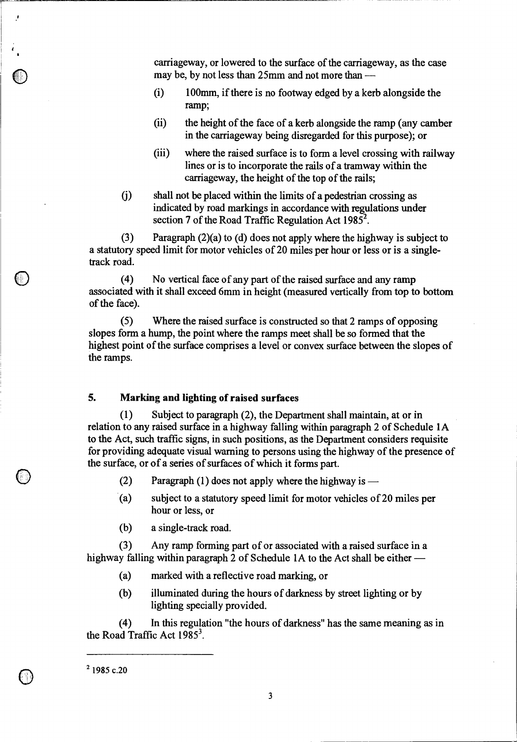carriageway, or lowered to the surface of the carriageway, as the case may be, by not less than 25mm and not more than —

- (i) 100mm, if there is no footway edged by a kerb alongside the ramp;
- (ii) the height of the face of a kerb alongside the ramp (any camber in the carriageway being disregarded for this purpose); or
- (iii) where the raised surface is to form a level crossing with railway lines or is to incorporate the rails of a tramway within the carriageway, the height of the top of the rails;
- shall not be placed within the limits of a pedestrian crossing as  $(i)$ indicated by road markings in accordance with regulations under section 7 of the Road Traffic Regulation Act  $1985^2$ .

(3) Paragraph (2)(a) to (d) does not apply where the highway is subject to a statutory speed limit for motor vehicles of 20 miles per hour or less or is a singletrack road.

(4) No vertical face of any part of the raised surface and any ramp associated with it shall exceed 6mm in height (measured vertically from top to bottom of the face).

(5) Where the raised surface is constructed so that 2 ramps of opposing slopes form a hump, the point where the ramps meet shall be so formed that the highest point of the surface comprises a level or convex surface between the slopes of the ramps.

### **5. Marking and lighting of raised surfaces**

(1) Subject to paragraph (2), the Department shall maintain, at or in relation to any raised surface in a highway falling within paragraph 2 of Schedule 1A to the Act, such traffic signs, in such positions, as the Department considers requisite for providing adequate visual warning to persons using the highway of the presence of the surface, or of a series of surfaces of which it forms part.

- (2) Paragraph (1) does not apply where the highway is  $-$
- (a) subject to a statutory speed limit for motor vehicles of 20 miles per hour or less, or
- (b) a single-track road.

(3) Any ramp forming part of or associated with a raised surface in a highway falling within paragraph 2 of Schedule 1A to the Act shall be either —

- (a) marked with a reflective road marking, or
- (b) illuminated during the hours of darkness by street lighting or by lighting specially provided.

(4) In this regulation "the hours of darkness" has the same meaning as in the Road Traffic Act  $1985^3$ .

 $2$  1985 c.20

 $\mathcal{I}$ 

 $\overline{\mathbf{3}}$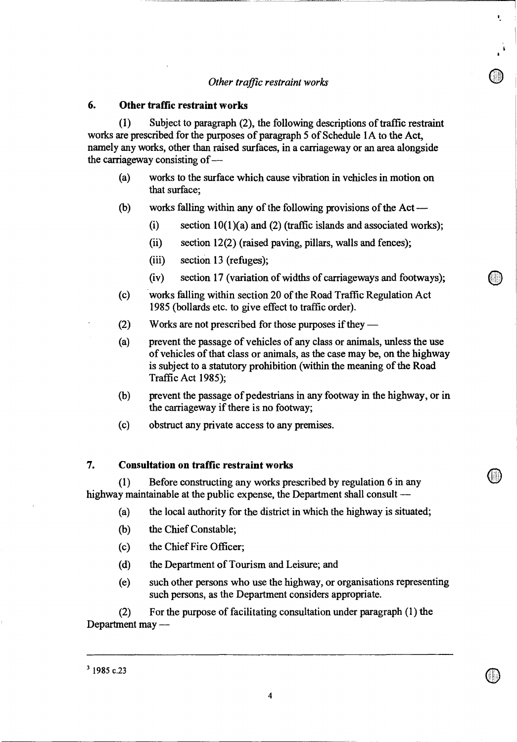## *Other traffic restraint works*

Â,

### **6. Other traffic restraint works**

(1) Subject to paragraph (2), the following descriptions of traffic restraint works are prescribed for the purposes of paragraph 5 of Schedule lA to the Act, namely any works, other than raised surfaces, in a carriageway or an area alongside the carriageway consisting of —

- (a) works to the surface which cause vibration in vehicles in motion on that surface;
- (b) works falling within any of the following provisions of the Act
	- (i) section  $10(1)(a)$  and (2) (traffic islands and associated works);
	- (ii) section 12(2) (raised paving, pillars, walls and fences);
	- (iii) section 13 (refuges);
	- (iv) section 17 (variation of widths of carriageways and footways);
- (c) works falling within section 20 of the Road Traffic Regulation Act 1985 (bollards etc. to give effect to traffic order).
- (2) Works are not prescribed for those purposes if they —
- (a) prevent the passage of vehicles of any class or animals, unless the use of vehicles of that class or animals, as the case may be, on the highway is subject to a statutory prohibition (within the meaning of the Road Traffic Act 1985);
- (b) prevent the passage of pedestrians in any footway in the highway, or in the carriageway if there is no footway;
- (c) obstruct any private access to any premises.

### **7. Consultation on traffic restraint works**

(1) Before constructing any works prescribed by regulation 6 in any highway maintainable at the public expense, the Department shall consult —

- (a) the local authority for the district in which the highway is situated;
- (b) the Chief Constable;
- (c) the Chief Fire Officer;
- (d) the Department of Tourism and Leisure; and
- (e) such other persons who use the highway, or organisations representing such persons, as the Department considers appropriate.

(2) For the purpose of facilitating consultation under paragraph (1) the Department may —

 $3$  1985 c.23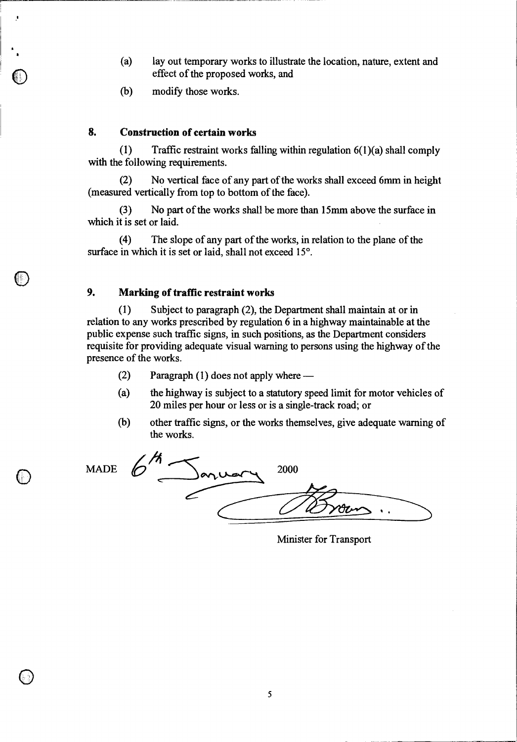- (a) lay out temporary works to illustrate the location, nature, extent and effect of the proposed works, and
- (b) modify those works.

### **8. Construction of certain works**

(1) Traffic restraint works falling within regulation  $6(1)(a)$  shall comply with the following requirements.

(2) No vertical face of any part of the works shall exceed 6mm in height (measured vertically from top to bottom of the face).

(3) No part of the works shall be more than 15mm above the surface in which it is set or laid.

(4) The slope of any part of the works, in relation to the plane of the surface in which it is set or laid, shall not exceed 15°.

#### **9. Marking of traffic restraint works**

(1) Subject to paragraph (2), the Department shall maintain at or in relation to any works prescribed by regulation 6 in a highway maintainable at the public expense such traffic signs, in such positions, as the Department considers requisite for providing adequate visual warning to persons using the highway of the presence of the works.

- (2) Paragraph (1) does not apply where —
- (a) the highway is subject to a statutory speed limit for motor vehicles of 20 miles per hour or less or is a single-track road; or
- (b) other traffic signs, or the works themselves, give adequate warning of the works.

MADE  $\bigcirc$ 

 $\bigcirc$ 

þ

| . .<br>onuar | 2000 |
|--------------|------|
|              | Otr  |

Minister for Transport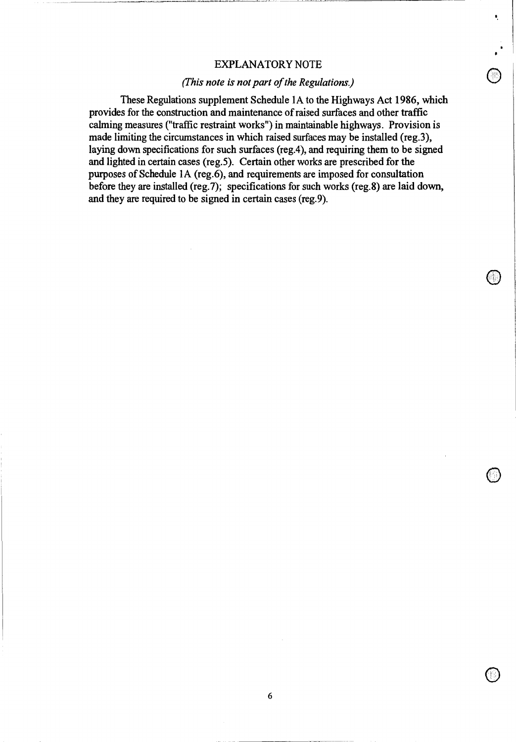#### EXPLANATORY NOTE

 $\circledcirc$ 

ŧ,

 $\bigcirc$ 

 $\bigcirc$ 

### *(This note is not part of the Regulations.)*

These Regulations supplement Schedule 1A to the Highways Act 1986, which provides for the construction and maintenance of raised surfaces and other traffic calming measures ("traffic restraint works") in maintainable highways. Provision is made limiting the circumstances in which raised surfaces may be installed (reg.3), laying down specifications for such surfaces (reg.4), and requiring them to be signed and lighted in certain cases (reg.5). Certain other works are prescribed for the purposes of Schedule 1A (reg.6), and requirements are imposed for consultation before they are installed (reg.7); specifications for such works (reg.8) are laid down, and they are required to be signed in certain cases (reg.9).